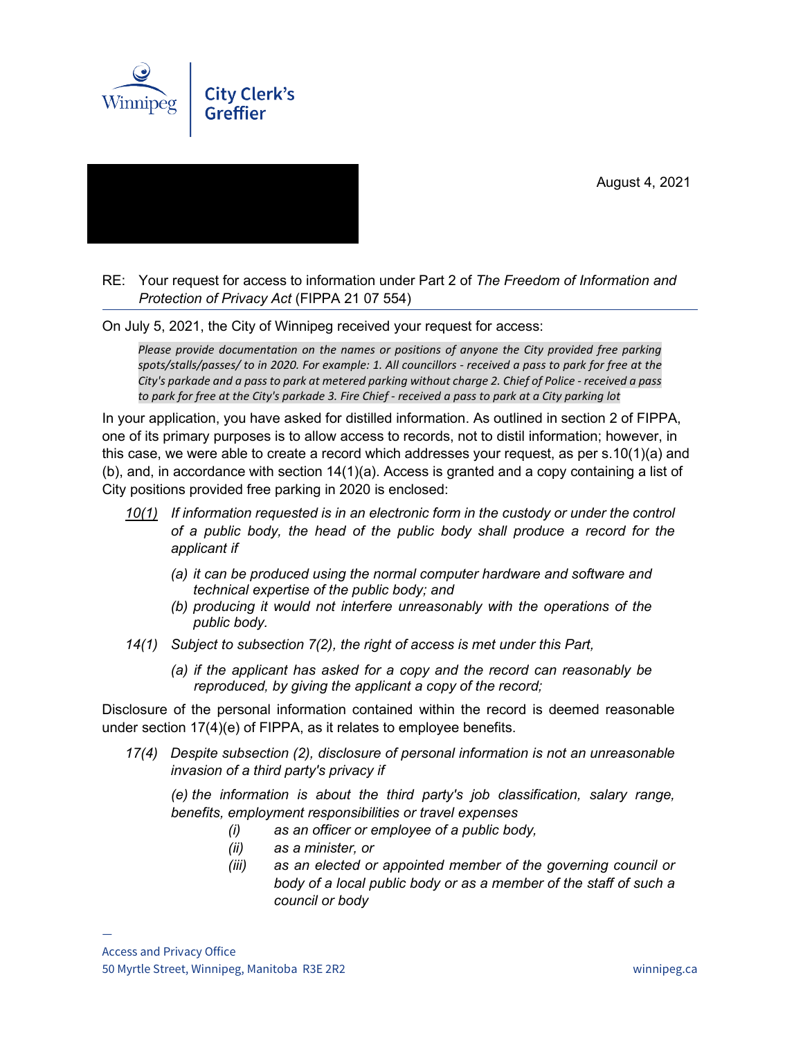August 4, 2021





RE: Your request for access to information under Part 2 of *The Freedom of Information and Protection of Privacy Act* (FIPPA 21 07 554)

On July 5, 2021, the City of Winnipeg received your request for access:

*Please provide documentation on the names or positions of anyone the City provided free parking spots/stalls/passes/ to in 2020. For example: 1. All councillors - received a pass to park for free at the City's parkade and a pass to park at metered parking without charge 2. Chief of Police - received a pass to park for free at the City's parkade 3. Fire Chief - received a pass to park at a City parking lot*

In your application, you have asked for distilled information. As outlined in section 2 of FIPPA, one of its primary purposes is to allow access to records, not to distil information; however, in this case, we were able to create a record which addresses your request, as per s.10(1)(a) and (b), and, in accordance with section 14(1)(a). Access is granted and a copy containing a list of City positions provided free parking in 2020 is enclosed:

- *10(1) If information requested is in an electronic form in the custody or under the control of a public body, the head of the public body shall produce a record for the applicant if* 
	- *(a) it can be produced using the normal computer hardware and software and technical expertise of the public body; and*
	- *(b) producing it would not interfere unreasonably with the operations of the public body.*
- *14(1) Subject to subsection 7(2), the right of access is met under this Part,* 
	- *(a) if the applicant has asked for a copy and the record can reasonably be reproduced, by giving the applicant a copy of the record;*

Disclosure of the personal information contained within the record is deemed reasonable under section 17(4)(e) of FIPPA, as it relates to employee benefits.

*17(4) Despite subsection (2), disclosure of personal information is not an unreasonable invasion of a third party's privacy if*

*(e) the information is about the third party's job classification, salary range, benefits, employment responsibilities or travel expenses*

- *(i) as an officer or employee of a public body,*
- *(ii) as a minister, or*
- *(iii) as an elected or appointed member of the governing council or body of a local public body or as a member of the staff of such a council or body*

—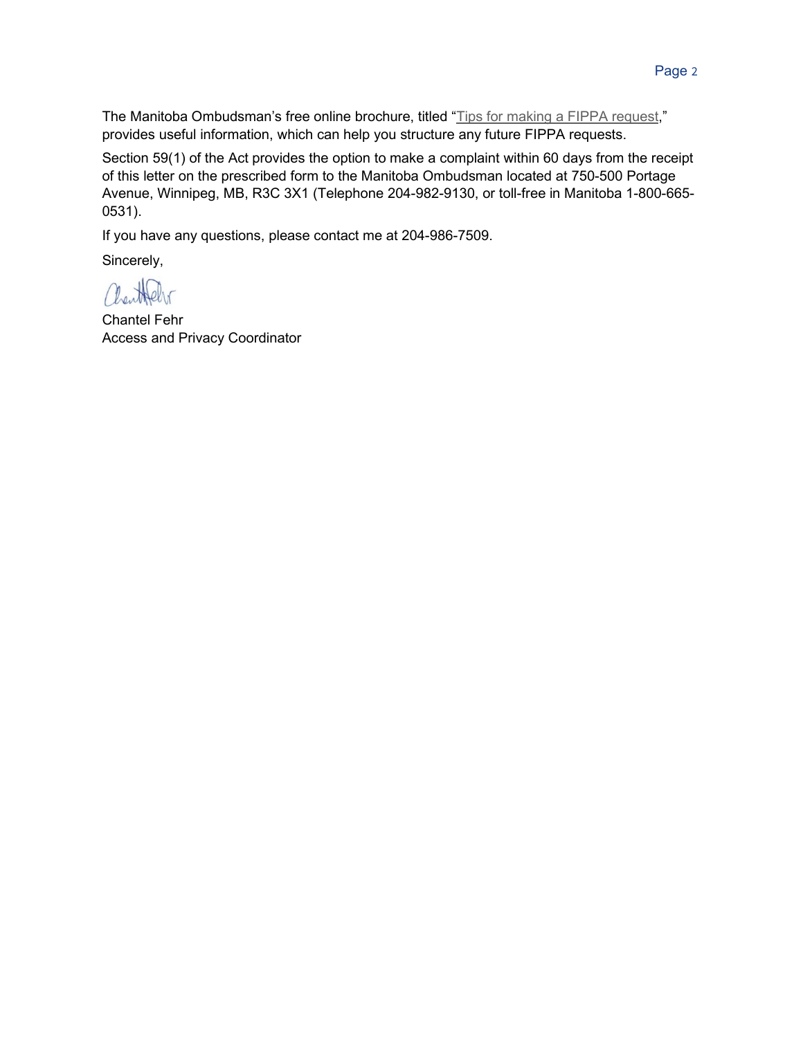The Manitoba Ombudsman's free online brochure, titled "Tips for making a FIPPA request," provides useful information, which can help you structure any future FIPPA requests.

Section 59(1) of the Act provides the option to make a complaint within 60 days from the receipt of this letter on the prescribed form to the Manitoba Ombudsman located at 750-500 Portage Avenue, Winnipeg, MB, R3C 3X1 (Telephone 204-982-9130, or toll-free in Manitoba 1-800-665- 0531).

If you have any questions, please contact me at 204-986-7509.

Sincerely,

Chartoleto

Chantel Fehr Access and Privacy Coordinator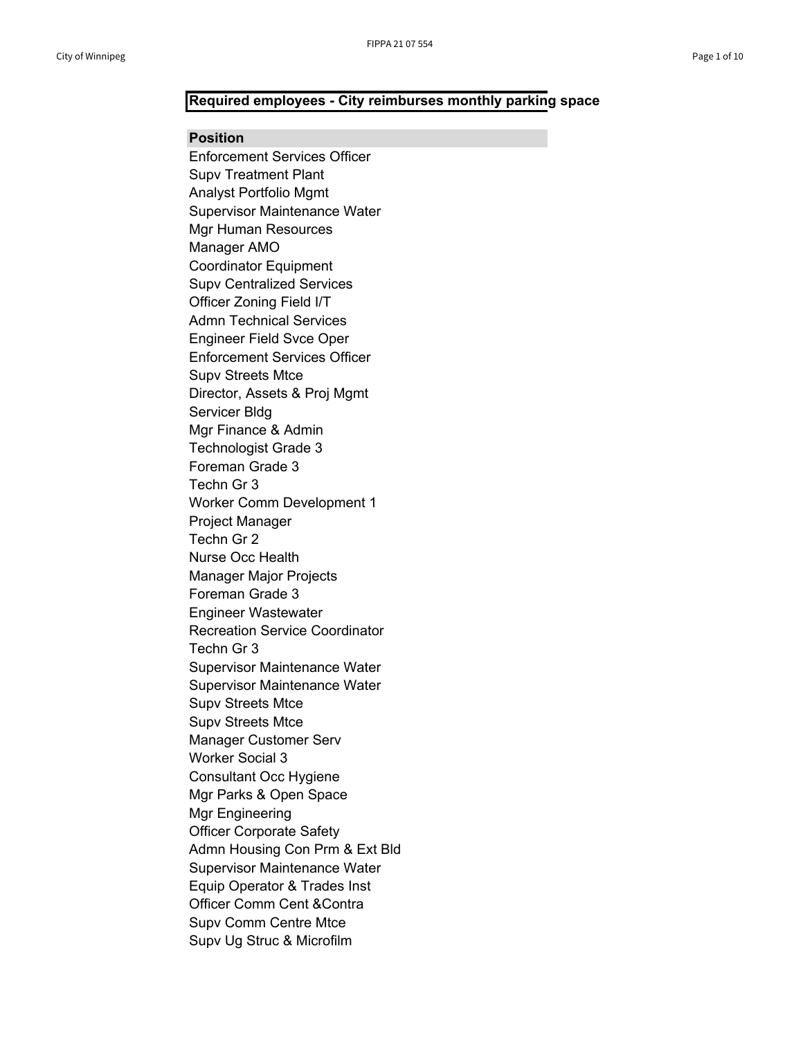## **Required employees - City reimburses monthly parking space**

## **Position**

Enforcement Services Officer Supv Treatment Plant Analyst Portfolio Mgmt Supervisor Maintenance Water Mgr Human Resources Manager AMO Coordinator Equipment Supv Centralized Services Officer Zoning Field I/T Admn Technical Services Engineer Field Svce Oper Enforcement Services Officer Supv Streets Mtce Director, Assets & Proj Mgmt Servicer Bldg Mgr Finance & Admin Technologist Grade 3 Foreman Grade 3 Techn Gr 3 Worker Comm Development 1 Project Manager Techn Gr 2 Nurse Occ Health Manager Major Projects Foreman Grade 3 Engineer Wastewater Recreation Service Coordinator Techn Gr 3 Supervisor Maintenance Water Supervisor Maintenance Water Supv Streets Mtce Supv Streets Mtce Manager Customer Serv Worker Social 3 Consultant Occ Hygiene Mgr Parks & Open Space Mgr Engineering Officer Corporate Safety Admn Housing Con Prm & Ext Bld Supervisor Maintenance Water Equip Operator & Trades Inst Officer Comm Cent &Contra Supv Comm Centre Mtce Supv Ug Struc & Microfilm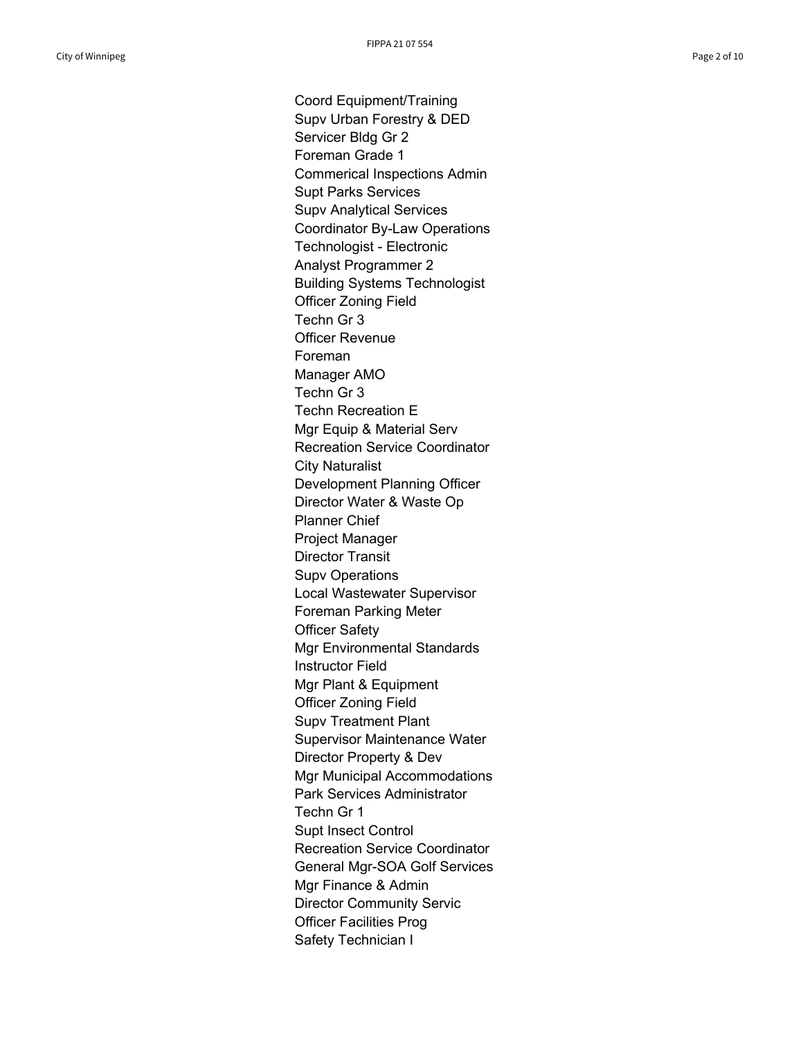Coord Equipment/Training Supv Urban Forestry & DED Servicer Bldg Gr 2 Foreman Grade 1 Commerical Inspections Admin Supt Parks Services Supv Analytical Services Coordinator By-Law Operations Technologist - Electronic Analyst Programmer 2 Building Systems Technologist Officer Zoning Field Techn Gr 3 Officer Revenue Foreman Manager AMO Techn Gr 3 Techn Recreation E Mgr Equip & Material Serv Recreation Service Coordinator City Naturalist Development Planning Officer Director Water & Waste Op Planner Chief Project Manager Director Transit Supv Operations Local Wastewater Supervisor Foreman Parking Meter Officer Safety Mgr Environmental Standards Instructor Field Mgr Plant & Equipment Officer Zoning Field Supv Treatment Plant Supervisor Maintenance Water Director Property & Dev Mgr Municipal Accommodations Park Services Administrator Techn Gr 1 Supt Insect Control Recreation Service Coordinator General Mgr-SOA Golf Services Mgr Finance & Admin Director Community Servic Officer Facilities Prog Safety Technician I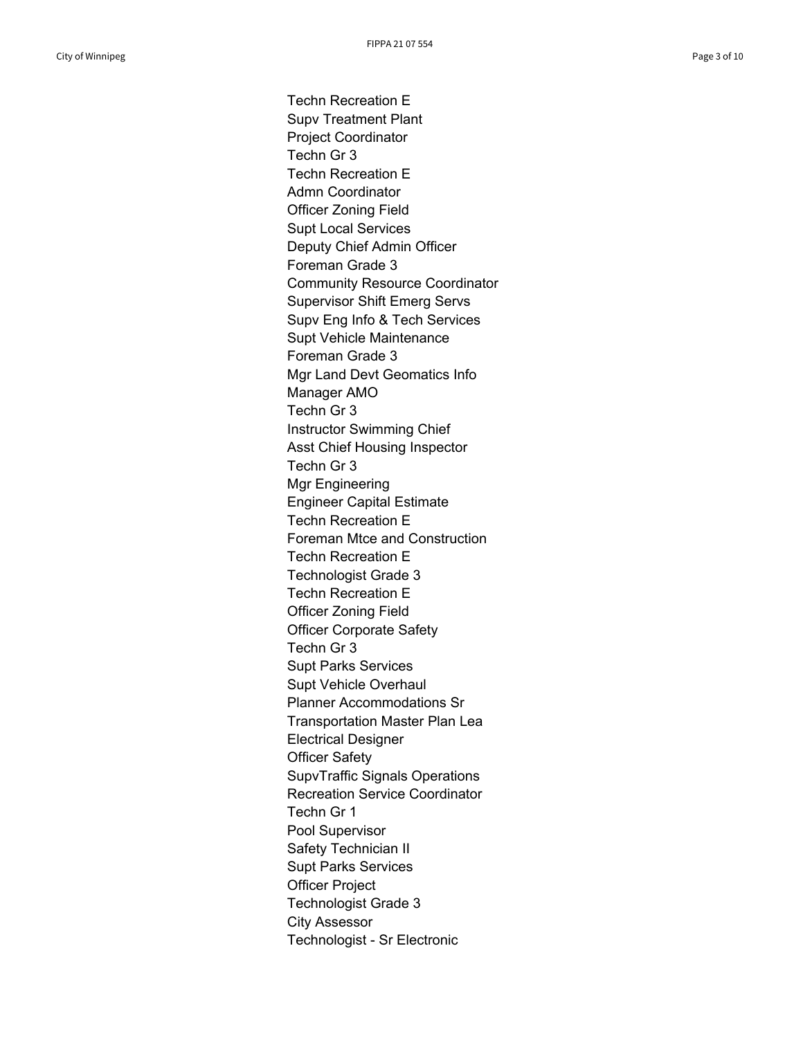Techn Recreation E Supv Treatment Plant Project Coordinator Techn Gr 3 Techn Recreation E Admn Coordinator Officer Zoning Field Supt Local Services Deputy Chief Admin Officer Foreman Grade 3 Community Resource Coordinator Supervisor Shift Emerg Servs Supv Eng Info & Tech Services Supt Vehicle Maintenance Foreman Grade 3 Mgr Land Devt Geomatics Info Manager AMO Techn Gr 3 Instructor Swimming Chief Asst Chief Housing Inspector Techn Gr 3 Mgr Engineering Engineer Capital Estimate Techn Recreation E Foreman Mtce and Construction Techn Recreation E Technologist Grade 3 Techn Recreation E Officer Zoning Field Officer Corporate Safety Techn Gr 3 Supt Parks Services Supt Vehicle Overhaul Planner Accommodations Sr Transportation Master Plan Lea Electrical Designer Officer Safety SupvTraffic Signals Operations Recreation Service Coordinator Techn Gr 1 Pool Supervisor Safety Technician II Supt Parks Services Officer Project Technologist Grade 3 City Assessor Technologist - Sr Electronic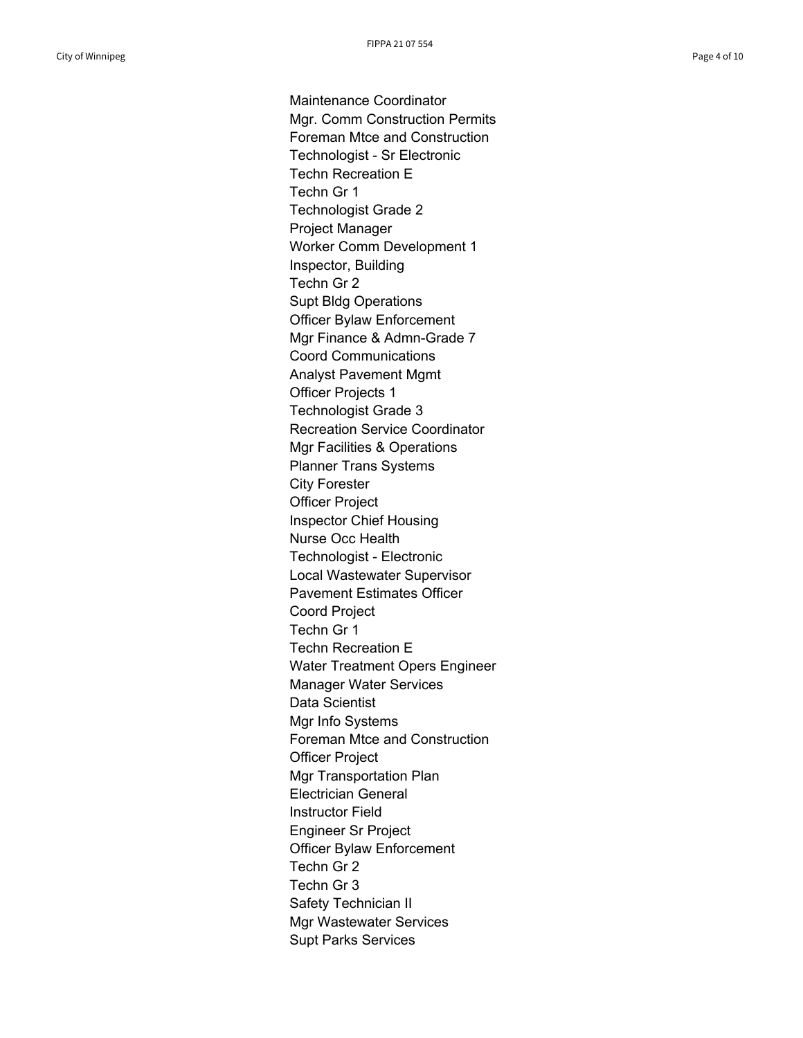Maintenance Coordinator Mgr. Comm Construction Permits Foreman Mtce and Construction Technologist - Sr Electronic Techn Recreation E Techn Gr 1 Technologist Grade 2 Project Manager Worker Comm Development 1 Inspector, Building Techn Gr 2 Supt Bldg Operations Officer Bylaw Enforcement Mgr Finance & Admn-Grade 7 Coord Communications Analyst Pavement Mgmt Officer Projects 1 Technologist Grade 3 Recreation Service Coordinator Mgr Facilities & Operations Planner Trans Systems City Forester Officer Project Inspector Chief Housing Nurse Occ Health Technologist - Electronic Local Wastewater Supervisor Pavement Estimates Officer Coord Project Techn Gr 1 Techn Recreation E Water Treatment Opers Engineer Manager Water Services Data Scientist Mgr Info Systems Foreman Mtce and Construction Officer Project Mgr Transportation Plan Electrician General Instructor Field Engineer Sr Project Officer Bylaw Enforcement Techn Gr 2 Techn Gr 3 Safety Technician II Mgr Wastewater Services Supt Parks Services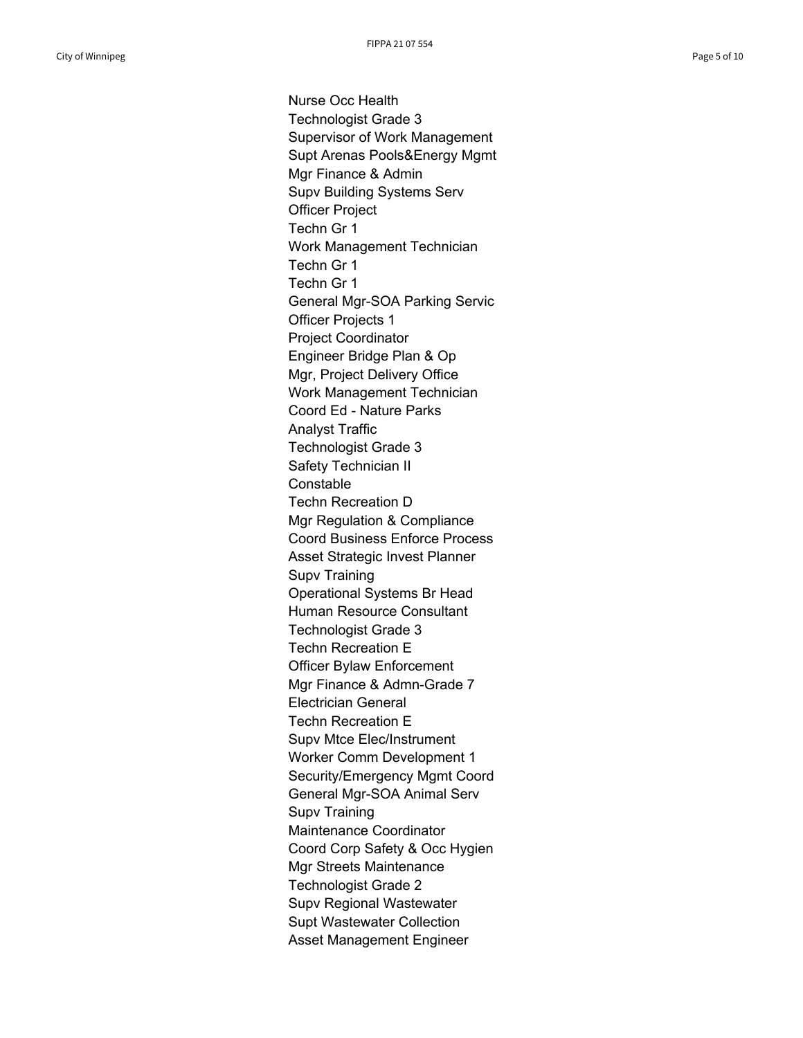Nurse Occ Health Technologist Grade 3 Supervisor of Work Management Supt Arenas Pools&Energy Mgmt Mgr Finance & Admin Supv Building Systems Serv Officer Project Techn Gr 1 Work Management Technician Techn Gr 1 Techn Gr 1 General Mgr-SOA Parking Servic Officer Projects 1 Project Coordinator Engineer Bridge Plan & Op Mgr, Project Delivery Office Work Management Technician Coord Ed - Nature Parks Analyst Traffic Technologist Grade 3 Safety Technician II **Constable** Techn Recreation D Mgr Regulation & Compliance Coord Business Enforce Process Asset Strategic Invest Planner Supv Training Operational Systems Br Head Human Resource Consultant Technologist Grade 3 Techn Recreation E Officer Bylaw Enforcement Mgr Finance & Admn-Grade 7 Electrician General Techn Recreation E Supv Mtce Elec/Instrument Worker Comm Development 1 Security/Emergency Mgmt Coord General Mgr-SOA Animal Serv Supv Training Maintenance Coordinator Coord Corp Safety & Occ Hygien Mgr Streets Maintenance Technologist Grade 2 Supv Regional Wastewater Supt Wastewater Collection Asset Management Engineer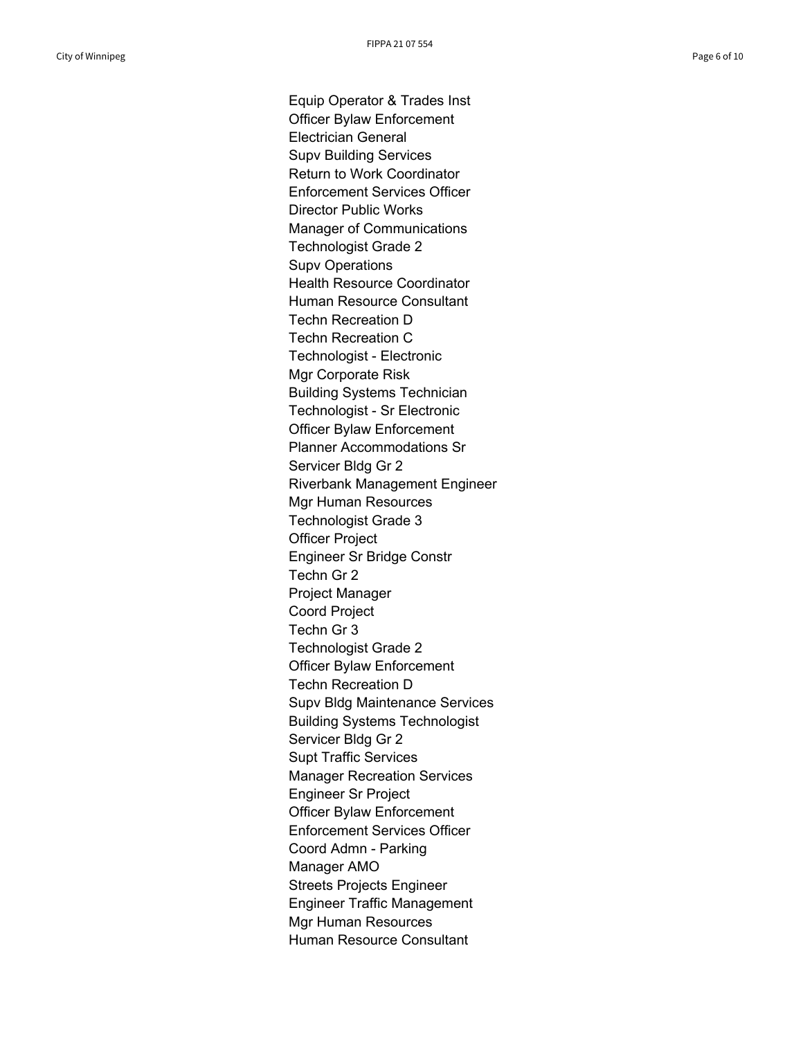Equip Operator & Trades Inst Officer Bylaw Enforcement Electrician General Supv Building Services Return to Work Coordinator Enforcement Services Officer Director Public Works Manager of Communications Technologist Grade 2 Supv Operations Health Resource Coordinator Human Resource Consultant Techn Recreation D Techn Recreation C Technologist - Electronic Mgr Corporate Risk Building Systems Technician Technologist - Sr Electronic Officer Bylaw Enforcement Planner Accommodations Sr Servicer Bldg Gr 2 Riverbank Management Engineer Mgr Human Resources Technologist Grade 3 Officer Project Engineer Sr Bridge Constr Techn Gr 2 Project Manager Coord Project Techn Gr 3 Technologist Grade 2 Officer Bylaw Enforcement Techn Recreation D Supv Bldg Maintenance Services Building Systems Technologist Servicer Bldg Gr 2 Supt Traffic Services Manager Recreation Services Engineer Sr Project Officer Bylaw Enforcement Enforcement Services Officer Coord Admn - Parking Manager AMO Streets Projects Engineer Engineer Traffic Management Mgr Human Resources Human Resource Consultant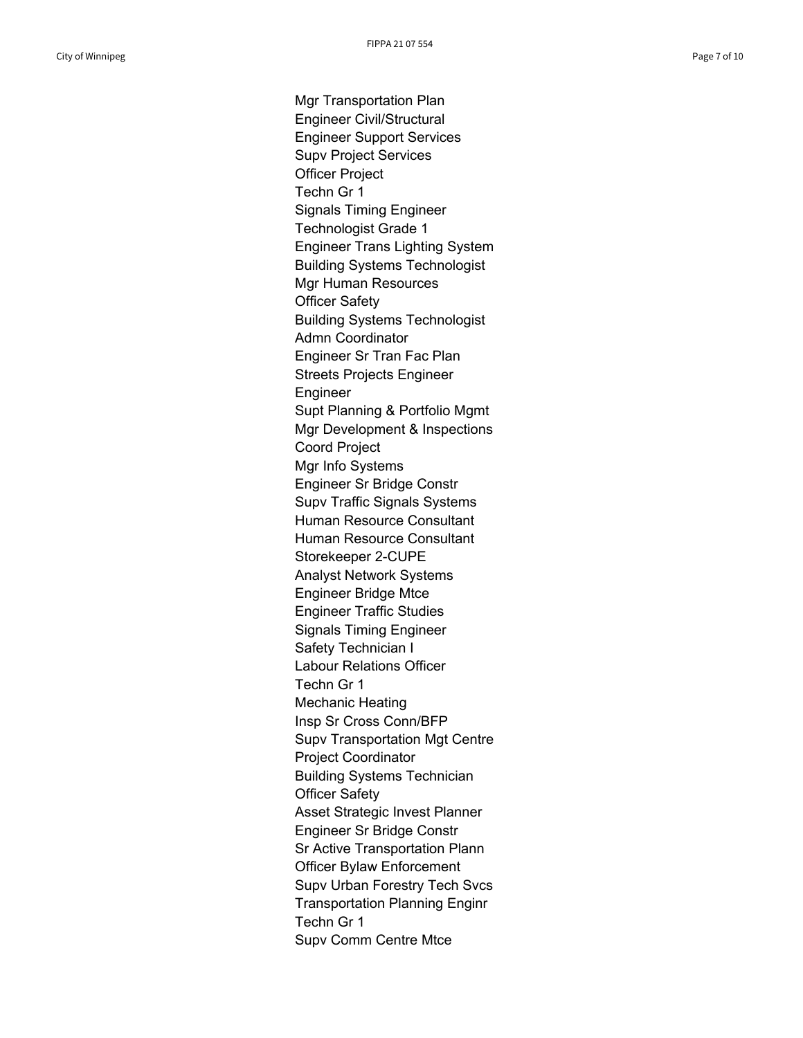Mgr Transportation Plan Engineer Civil/Structural Engineer Support Services Supv Project Services Officer Project Techn Gr 1 Signals Timing Engineer Technologist Grade 1 Engineer Trans Lighting System Building Systems Technologist Mgr Human Resources Officer Safety Building Systems Technologist Admn Coordinator Engineer Sr Tran Fac Plan Streets Projects Engineer Engineer Supt Planning & Portfolio Mgmt Mgr Development & Inspections Coord Project Mgr Info Systems Engineer Sr Bridge Constr Supv Traffic Signals Systems Human Resource Consultant Human Resource Consultant Storekeeper 2-CUPE Analyst Network Systems Engineer Bridge Mtce Engineer Traffic Studies Signals Timing Engineer Safety Technician I Labour Relations Officer Techn Gr 1 Mechanic Heating Insp Sr Cross Conn/BFP Supv Transportation Mgt Centre Project Coordinator Building Systems Technician Officer Safety Asset Strategic Invest Planner Engineer Sr Bridge Constr Sr Active Transportation Plann Officer Bylaw Enforcement Supv Urban Forestry Tech Svcs Transportation Planning Enginr Techn Gr 1 Supv Comm Centre Mtce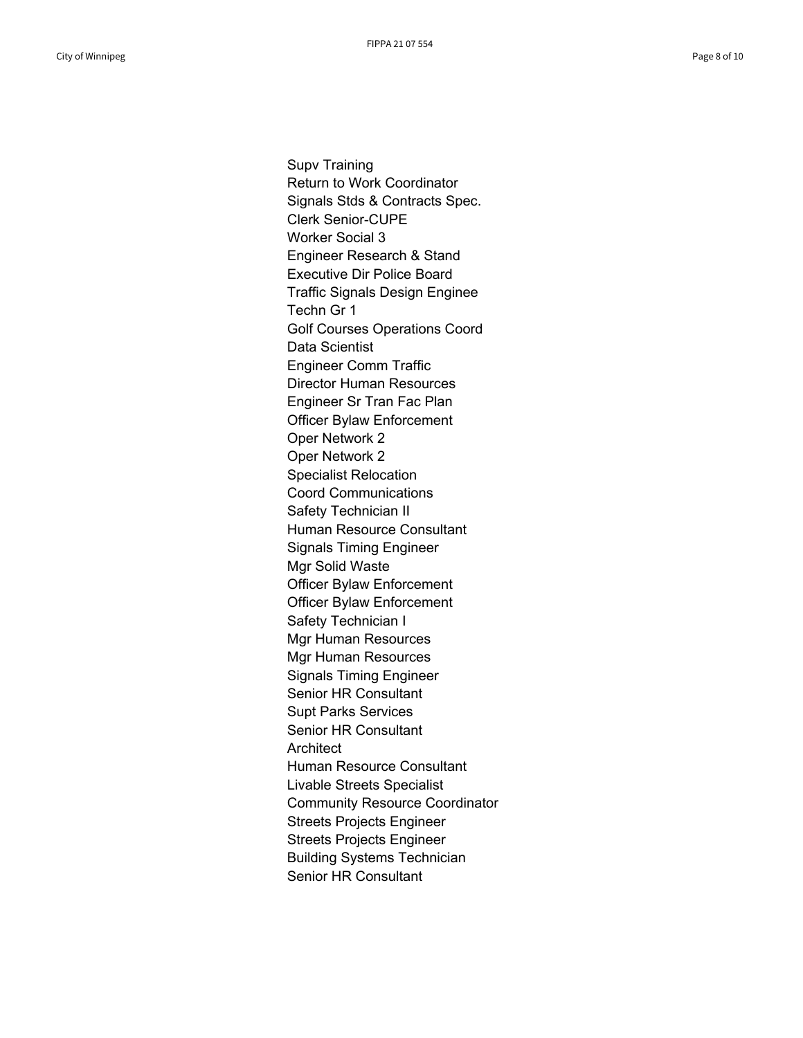Supv Training Return to Work Coordinator Signals Stds & Contracts Spec. Clerk Senior-CUPE Worker Social 3 Engineer Research & Stand Executive Dir Police Board Traffic Signals Design Enginee Techn Gr 1 Golf Courses Operations Coord Data Scientist Engineer Comm Traffic Director Human Resources Engineer Sr Tran Fac Plan Officer Bylaw Enforcement Oper Network 2 Oper Network 2 Specialist Relocation Coord Communications Safety Technician II Human Resource Consultant Signals Timing Engineer Mgr Solid Waste Officer Bylaw Enforcement Officer Bylaw Enforcement Safety Technician I Mgr Human Resources Mgr Human Resources Signals Timing Engineer Senior HR Consultant Supt Parks Services Senior HR Consultant **Architect** Human Resource Consultant Livable Streets Specialist Community Resource Coordinator Streets Projects Engineer Streets Projects Engineer Building Systems Technician Senior HR Consultant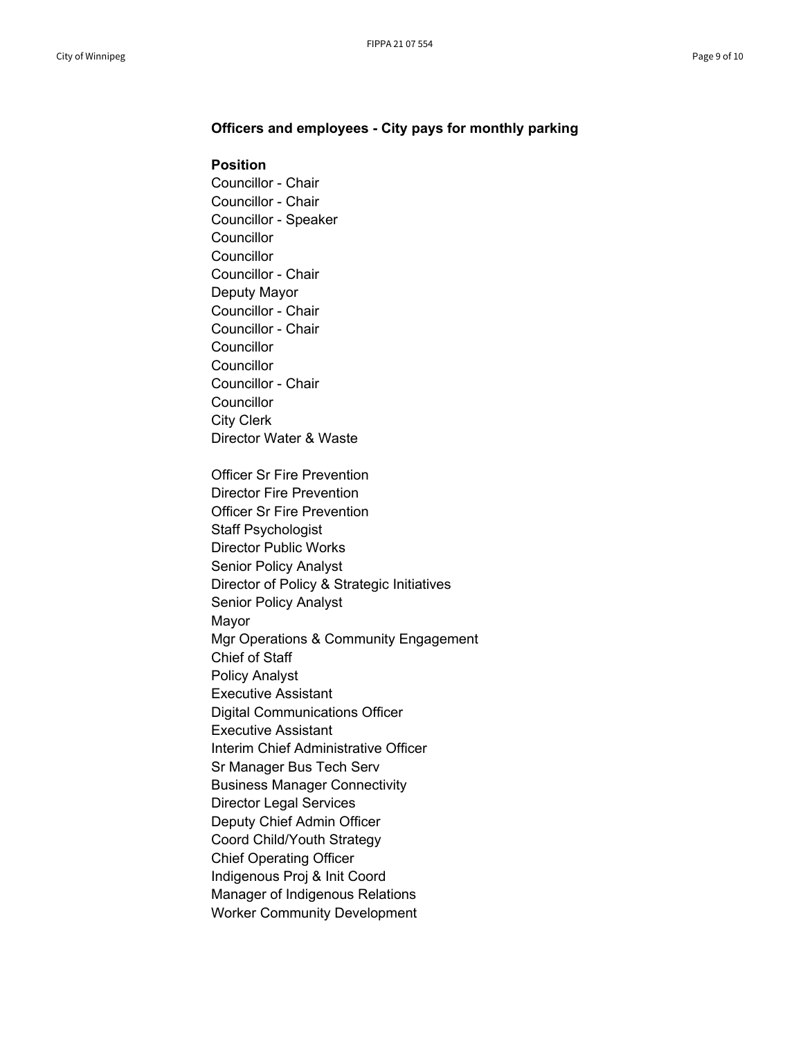## **Officers and employees - City pays for monthly parking**

## **Position**

Councillor - Chair Councillor - Chair Councillor - Speaker **Councillor Councillor** Councillor - Chair Deputy Mayor Councillor - Chair Councillor - Chair **Councillor Councillor** Councillor - Chair **Councillor** City Clerk Director Water & Waste Officer Sr Fire Prevention Director Fire Prevention Officer Sr Fire Prevention Staff Psychologist Director Public Works Senior Policy Analyst Director of Policy & Strategic Initiatives Senior Policy Analyst Mayor Mgr Operations & Community Engagement Chief of Staff Policy Analyst Executive Assistant

Digital Communications Officer

Executive Assistant

Interim Chief Administrative Officer

Sr Manager Bus Tech Serv

Business Manager Connectivity

Director Legal Services

Deputy Chief Admin Officer

Coord Child/Youth Strategy

Chief Operating Officer

Indigenous Proj & Init Coord

Manager of Indigenous Relations

Worker Community Development